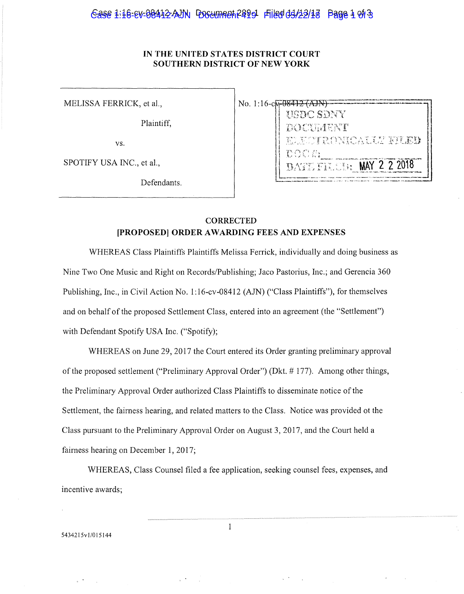## $\epsilon$ ase  $1:16$ -ev-08412-AJN Poseumreh 2499 Filed 04/22/18 Page  $1$  of 3

#### **IN THE UNITED STATES DISTRICT COURT SOUTHERN DISTRICT OF NEW YORK**

MELISSA FERRICK, et al.,

Plaintiff,

vs.

SPOTIFY USA INC., et al.,

Defendants.

| No. 1:16-c <del>m-08412-(AJN</del><br><b>HADC SDNY</b> |
|--------------------------------------------------------|
| <b>BOOTHENT</b><br>ELECTRONICATE E ERI                 |
| THE SH<br>DATE FILEM: MAY 2 2 2018                     |

### **CORRECTED [PROPOSED] ORDER AWARDING FEES AND EXPENSES**

WHEREAS Class Plaintiffs Plaintiffs Melissa Ferrick, individually and doing business as Nine Two One Music and Right on Records/Publishing; Jaco Pastorius, Inc.; and Gerencia 360 Publishing, Inc., in Civil Action No. 1:16-cv-08412 (AJN) ("Class Plaintiffs"), for themselves and on behalf of the proposed Settlement Class, entered into an agreement (the "Settlement") with Defendant Spotify USA Inc. ("Spotify);

WHEREAS on June 29, 2017 the Court entered its Order granting preliminary approval of the proposed settlement ("Preliminary Approval Order") (Dkt. # 177). Among other things, the Preliminary Approval Order authorized Class Plaintiffs to disseminate notice of the Settlement, the fairness hearing, and related matters to the Class. Notice was provided ot the Class pursuant to the Preliminary Approval Order on August 3, 2017, and the Court held a fairness hearing on December I, 2017;

WHEREAS, Class Counsel filed a fee application, seeking counsel fees, expenses, and incentive awards;

543421Svl/015144

 $\mathbf{1}$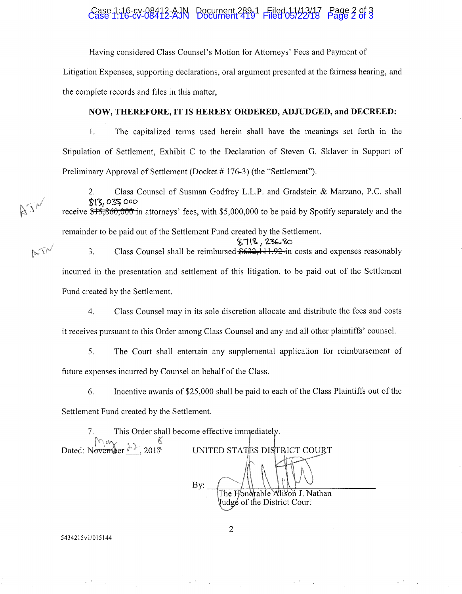# Case 1:16-cv-08412-AJN Document 289-1 Filed 11/13/17 Page 2 of 3 Case 1:16-cv-08412-AJN Document 419 Filed 05/22/18 Page 2 of 3

Having considered Class Counsel's Motion for Attorneys' Fees and Payment of

Litigation Expenses, supporting declarations, oral argument presented at the fairness hearing, and the complete records and files in this matter,

#### **NOW, THEREFORE, IT IS HEREBY ORDERED, ADJUDGED, and DECREED:**

1. The capitalized terms used herein shall have the meanings set forth in the Stipulation of Settlement, Exhibit C to the Declaration of Steven G. Sklaver in Support of Preliminary Approval of Settlement (Docket # 176-3) (the "Settlement").

2. Class Counsel of Susman Godfrey L.L.P. and Gradstein & Marzano, P.C. shall  $$13,035,000$ 

receive \$15,860,000 in attorneys' fees, with \$5,000,000 to be paid by Spotify separately and the remainder to be paid out of the Settlement Fund created by the Settlement.

i **··wi** *I* **'l.** *°¼,.* **~0** 

3. Class Counsel shall be reimbursed  $$632,111.92$  in costs and expenses reasonably incurred in the presentation and settlement of this litigation, to be paid out of the Settlement Fund created by the Settlement.

4. Class Counsel may in its sole discretion allocate and distribute the fees and costs

it receives pursuant to this Order among Class Counsel and any and all other plaintiffs' counsel.

5. The Court shall entertain any supplemental application for reimbursement of future expenses incurred by Counsel on behalf of the Class.

6. Incentive awards of \$25,000 shall be paid to each of the Class Plaintiffs out of the

Settlement Fund created by the Settlement.

7. This Order shall become effective imn Dated: November  $\frac{\partial \chi}{\partial z}$ , 2017<br>Dated: November  $\frac{\partial \chi}{\partial z}$ , 2017

 $Bv:$ The Honorable Alison J. Nathan Judgé of the District Court

5434215vl/015144

AJN

NIN

2